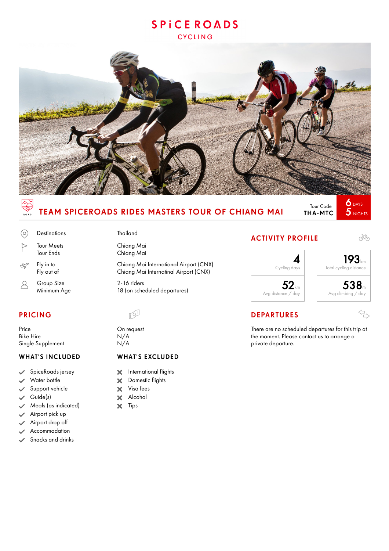# **SPICEROADS CYCLING**



# TEAM SPICEROADS RIDES MASTERS TOUR OF CHIANG MAI

Tour Code THA-MTC

 $5$  NIGHTS

4

# $\odot$  $\triangleright$

 $\mathscr{A}$ 

Group Size 2-16 riders<br>
Minimum Age 18 (on sche R

Price On request **Bike Hire** Single Supplement N/A

### WHAT'S INCLUDED

- SpiceRoads jersey
- Water bottle
- Support vehicle
- Guide(s)
- Meals (as indicated)
- Airport pick up
- Airport drop off
- Accommodation
- Snacks and drinks

# Destinations Thailand

Tour Meets Chiang Mai Tour Ends Chiang Mai

Fly in to Chiang Mai International Airport (CNX) Fly out of Chiang Mai Internatinal Airport (CNX)

18 (on scheduled departures)

### WHAT'S EXCLUDED

- International flights  $\boldsymbol{\times}$
- $\overline{\mathbf{x}}$ Domestic flights
- Visa fees  $\overline{\mathbf{x}}$
- Alcohol  $\overline{\mathbf{x}}$
- $\overline{\mathbf{x}}$ Tips

# ACTIVITY PROFILE



# PRICING DEPARTURES

There are no scheduled departures for this trip at the moment. Please contact us to arrange a private departure.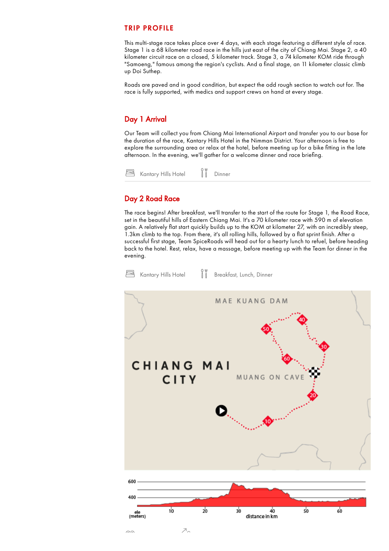#### TRIP PROFILE

This multi-stage race takes place over 4 days, with each stage featuring a different style of race. Stage 1 is a 68 kilometer road race in the hills just east of the city of Chiang Mai. Stage 2, a 40 kilometer circuit race on a closed, 5 kilometer track. Stage 3, a 74 kilometer KOM ride through "Samoeng," famous among the region's cyclists. And a final stage, an 11 kilometer classic climb up Doi Suthep.

Roads are paved and in good condition, but expect the odd rough section to watch out for. The race is fully supported, with medics and support crews on hand at every stage.

# Day 1 Arrival

Our Team will collect you from Chiang Mai International Airport and transfer you to our base for the duration of the race, Kantary Hills Hotel in the Nimman District. Your afternoon is free to explore the surrounding area or relax at the hotel, before meeting up for a bike fitting in the late afternoon. In the evening, we'll gather for a welcome dinner and race briefing.



## Day 2 Road Race

The race begins! After breakfast, we'll transfer to the start of the route for Stage 1, the Road Race, set in the beautiful hills of Eastern Chiang Mai. It's a 70 kilometer race with 590 m of elevation gain. A relatively flat start quickly builds up to the KOM at kilometer 27, with an incredibly steep, 1.3km climb to the top. From there, it's all rolling hills, followed by a flat sprint finish. After a successful first stage, Team SpiceRoads will head out for a hearty lunch to refuel, before heading back to the hotel. Rest, relax, have a massage, before meeting up with the Team for dinner in the evening.

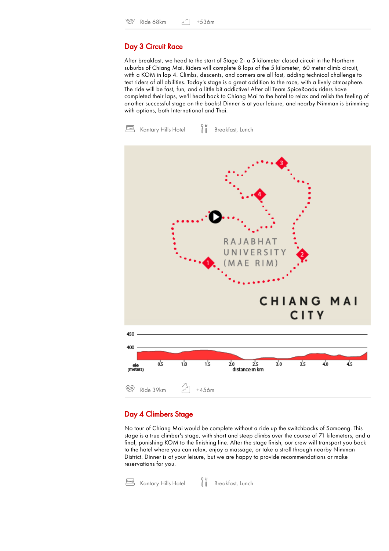#### Day 3 Circuit Race

After breakfast, we head to the start of Stage 2- a 5 kilometer closed circuit in the Northern suburbs of Chiang Mai. Riders will complete 8 laps of the 5 kilometer, 60 meter climb circuit, with a KOM in lap 4. Climbs, descents, and corners are all fast, adding technical challenge to test riders of all abilities. Today's stage is a great addition to the race, with a lively atmosphere. The ride will be fast, fun, and a little bit addictive! After all Team SpiceRoads riders have completed their laps, we'll head back to Chiang Mai to the hotel to relax and relish the feeling of another successful stage on the books! Dinner is at your leisure, and nearby Nimman is brimming with options, both International and Thai.

e Kantary Hills Hotel  $\bigcup_{n=1}^{\infty}$  Breakfast, Lunch



### Day 4 Climbers Stage

No tour of Chiang Mai would be complete without a ride up the switchbacks of Samoeng. This stage is a true climber's stage, with short and steep climbs over the course of 71 kilometers, and a final, punishing KOM to the finishing line. After the stage finish, our crew will transport you back to the hotel where you can relax, enjoy a massage, or take a stroll through nearby Nimman District. Dinner is at your leisure, but we are happy to provide recommendations or make reservations for you.

e Kantary Hills Hotel | | Breakfast, Lunch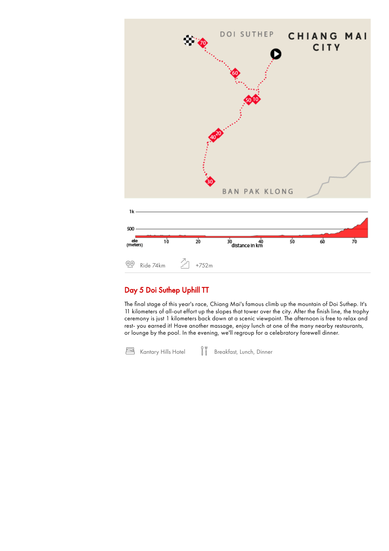

# Day 5 Doi Suthep Uphill TT

The final stage of this year's race, Chiang Mai's famous climb up the mountain of Doi Suthep. It's 11 kilometers of all-out effort up the slopes that tower over the city. After the finish line, the trophy ceremony is just 1 kilometers back down at a scenic viewpoint. The afternoon is free to relax and rest- you earned it! Have another massage, enjoy lunch at one of the many nearby restaurants, or lounge by the pool. In the evening, we'll regroup for a celebratory farewell dinner.

o w<br>Kantary Hills Hotel III Breakfast, Lunch, Dinner 冎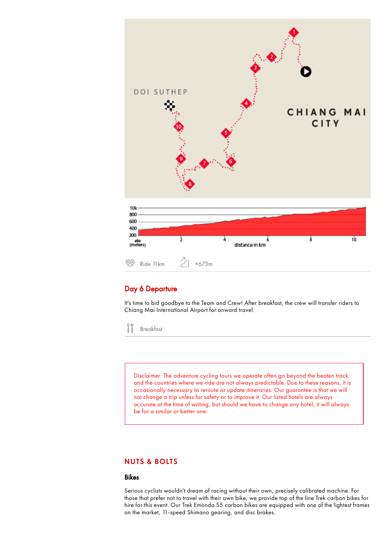

### Day 6 Departure

It's time to bid goodbye to the Team and Crew! After breakfast, the crew will transfer riders to Chiang Mai International Airport for onward travel.

 $\,$ Breakfast

> Disclaimer: The adventure cycling tours we operate often go beyond the beaten track, and the countries where we ride are not always predictable. Due to these reasons, it is occasionally necessary to reroute or update itineraries. Our guarantee is that we will not change a trip unless for safety or to improve it. Our listed hotels are always accurate at the time of writing, but should we have to change any hotel, it will always be for a similar or better one.

#### NUTS & BOLTS

#### Bikes

Serious cyclists wouldn't dream of racing without their own, precisely calibrated machine. For those that prefer not to travel with their own bike, we provide top of the line Trek carbon bikes for hire for this event. Our Trek Emonda S5 carbon bikes are equipped with one of the lightest frames on the market, 11-speed Shimano gearing, and disc brakes.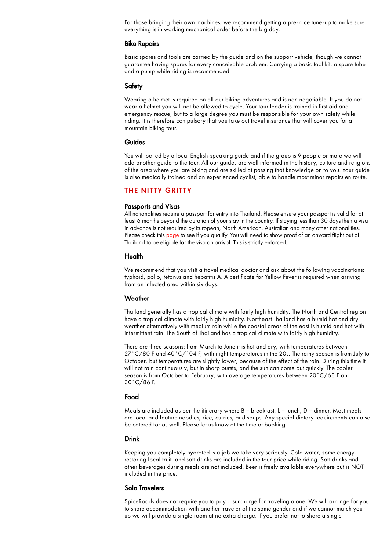For those bringing their own machines, we recommend getting a pre-race tune-up to make sure everything is in working mechanical order before the big day.

#### Bike Repairs

Basic spares and tools are carried by the guide and on the support vehicle, though we cannot guarantee having spares for every conceivable problem. Carrying a basic tool kit, a spare tube and a pump while riding is recommended.

#### Safety

Wearing a helmet is required on all our biking adventures and is non negotiable. If you do not wear a helmet you will not be allowed to cycle. Your tour leader is trained in first aid and emergency rescue, but to a large degree you must be responsible for your own safety while riding. It is therefore compulsory that you take out travel insurance that will cover you for a mountain biking tour.

#### Guides

You will be led by a local English-speaking guide and if the group is 9 people or more we will add another guide to the tour. All our guides are well informed in the history, culture and religions of the area where you are biking and are skilled at passing that knowledge on to you. Your guide is also medically trained and an experienced cyclist, able to handle most minor repairs en route.

#### THE NITTY GRITTY

#### Passports and Visas

All nationalities require a passport for entry into Thailand. Please ensure your passport is valid for at least 6 months beyond the duration of your stay in the country. If staying less than 30 days then a visa in advance is not required by European, North American, Australian and many other nationalities. Please check this [page](http://www.thaiembassy.org/telaviv/en/services/685/17388-Entry-to-Thailand.html) to see if you qualify. You will need to show proof of an onward flight out of Thailand to be eligible for the visa on arrival. This is strictly enforced.

#### **Health**

We recommend that you visit a travel medical doctor and ask about the following vaccinations: typhoid, polio, tetanus and hepatitis A. A certificate for Yellow Fever is required when arriving from an infected area within six days.

#### **Weather**

Thailand generally has a tropical climate with fairly high humidity. The North and Central region have a tropical climate with fairly high humidity. Northeast Thailand has a humid hot and dry weather alternatively with medium rain while the coastal areas of the east is humid and hot with intermittent rain. The South of Thailand has a tropical climate with fairly high humidity.

There are three seasons: from March to June it is hot and dry, with temperatures between 27°C/80 F and 40°C/104 F, with night temperatures in the 20s. The rainy season is from July to October, but temperatures are slightly lower, because of the effect of the rain. During this time it will not rain continuously, but in sharp bursts, and the sun can come out quickly. The cooler season is from October to February, with average temperatures between 20˚C/68 F and 30˚C/86 F.

#### Food

Meals are included as per the itinerary where  $B =$  breakfast,  $L =$  lunch,  $D =$  dinner. Most meals are local and feature noodles, rice, curries, and soups. Any special dietary requirements can also be catered for as well. Please let us know at the time of booking.

#### Drink

Keeping you completely hydrated is a job we take very seriously. Cold water, some energyrestoring local fruit, and soft drinks are included in the tour price while riding. Soft drinks and other beverages during meals are not included. Beer is freely available everywhere but is NOT included in the price.

#### Solo Travelers

SpiceRoads does not require you to pay a surcharge for traveling alone. We will arrange for you to share accommodation with another traveler of the same gender and if we cannot match you up we will provide a single room at no extra charge. If you prefer not to share a single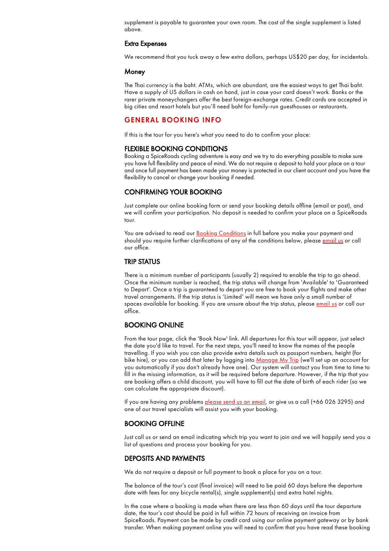supplement is payable to guarantee your own room. The cost of the single supplement is listed above.

#### Extra Expenses

We recommend that you tuck away a few extra dollars, perhaps US\$20 per day, for incidentals.

#### Money

The Thai currency is the baht. ATMs, which are abundant, are the easiest ways to get Thai baht. Have a supply of US dollars in cash on hand, just in case your card doesn't work. Banks or the rarer private moneychangers offer the best foreign-exchange rates. Credit cards are accepted in big cities and resort hotels but you'll need baht for family-run guesthouses or restaurants.

#### GENERAL BOOKING INFO

If this is the tour for you here's what you need to do to confirm your place:

#### FLEXIBLE BOOKING CONDITIONS

Booking a SpiceRoads cycling adventure is easy and we try to do everything possible to make sure you have full flexibility and peace of mind. We do not require a deposit to hold your place on a tour and once full payment has been made your money is protected in our client account and you have the flexibility to cancel or change your booking if needed.

#### CONFIRMING YOUR BOOKING

Just complete our online booking form or send your booking details offline (email or post), and we will confirm your participation. No deposit is needed to confirm your place on a SpiceRoads tour.

You are advised to read our Booking [Conditions](https://www.spiceroads.com/tour_info/booking_conditions) in full before you make your payment and should you require further clarifications of any of the conditions below, please [email](https://www.spiceroads.com/contact) us or call our office.

#### TRIP STATUS

There is a minimum number of participants (usually 2) required to enable the trip to go ahead. Once the minimum number is reached, the trip status will change from 'Available' to 'Guaranteed to Depart'. Once a trip is guaranteed to depart you are free to book your flights and make other travel arrangements. If the trip status is 'Limited' will mean we have only a small number of spaces available for booking. If you are unsure about the trip status, please [email](https://www.spiceroads.com/contact) us or call our office.

#### BOOKING ONLINE

From the tour page, click the 'Book Now' link. All departures for this tour will appear, just select the date you'd like to travel. For the next steps, you'll need to know the names of the people travelling. If you wish you can also provide extra details such as passport numbers, height (for bike hire), or you can add that later by logging into [Manage](https://www.spiceroads.com/manage) My Trip (we'll set up an account for you automatically if you don't already have one). Our system will contact you from time to time to fill in the missing information, as it will be required before departure. However, if the trip that you are booking offers a child discount, you will have to fill out the date of birth of each rider (so we can calculate the appropriate discount).

If you are having any problems [please](https://www.spiceroads.com/contact) send us an email, or give us a call (+66 026 3295) and one of our travel specialists will assist you with your booking.

#### BOOKING OFFLINE

Just call us or send an email indicating which trip you want to join and we will happily send you a list of questions and process your booking for you.

#### DEPOSITS AND PAYMENTS

We do not require a deposit or full payment to book a place for you on a tour.

The balance of the tour's cost (final invoice) will need to be paid 60 days before the departure date with fees for any bicycle rental(s), single supplement(s) and extra hotel nights.

In the case where a booking is made when there are less than 60 days until the tour departure date, the tour's cost should be paid in full within 72 hours of receiving an invoice from SpiceRoads. Payment can be made by credit card using our online payment gateway or by bank transfer. When making payment online you will need to confirm that you have read these booking